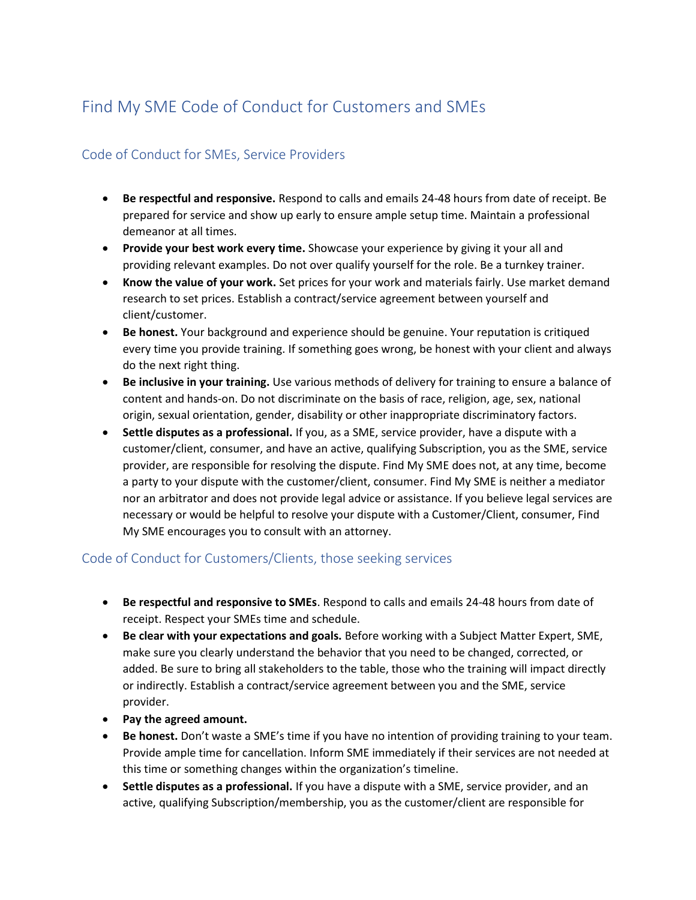## Find My SME Code of Conduct for Customers and SMEs

## Code of Conduct for SMEs, Service Providers

- **Be respectful and responsive.** Respond to calls and emails 24-48 hours from date of receipt. Be prepared for service and show up early to ensure ample setup time. Maintain a professional demeanor at all times.
- **Provide your best work every time.** Showcase your experience by giving it your all and providing relevant examples. Do not over qualify yourself for the role. Be a turnkey trainer.
- **Know the value of your work.** Set prices for your work and materials fairly. Use market demand research to set prices. Establish a contract/service agreement between yourself and client/customer.
- **Be honest.** Your background and experience should be genuine. Your reputation is critiqued every time you provide training. If something goes wrong, be honest with your client and always do the next right thing.
- **Be inclusive in your training.** Use various methods of delivery for training to ensure a balance of content and hands-on. Do not discriminate on the basis of race, religion, age, sex, national origin, sexual orientation, gender, disability or other inappropriate discriminatory factors.
- **Settle disputes as a professional.** If you, as a SME, service provider, have a dispute with a customer/client, consumer, and have an active, qualifying Subscription, you as the SME, service provider, are responsible for resolving the dispute. Find My SME does not, at any time, become a party to your dispute with the customer/client, consumer. Find My SME is neither a mediator nor an arbitrator and does not provide legal advice or assistance. If you believe legal services are necessary or would be helpful to resolve your dispute with a Customer/Client, consumer, Find My SME encourages you to consult with an attorney.

## Code of Conduct for Customers/Clients, those seeking services

- **Be respectful and responsive to SMEs**. Respond to calls and emails 24-48 hours from date of receipt. Respect your SMEs time and schedule.
- **Be clear with your expectations and goals.** Before working with a Subject Matter Expert, SME, make sure you clearly understand the behavior that you need to be changed, corrected, or added. Be sure to bring all stakeholders to the table, those who the training will impact directly or indirectly. Establish a contract/service agreement between you and the SME, service provider.
- **Pay the agreed amount.**
- **Be honest.** Don't waste a SME's time if you have no intention of providing training to your team. Provide ample time for cancellation. Inform SME immediately if their services are not needed at this time or something changes within the organization's timeline.
- **Settle disputes as a professional.** If you have a dispute with a SME, service provider, and an active, qualifying Subscription/membership, you as the customer/client are responsible for